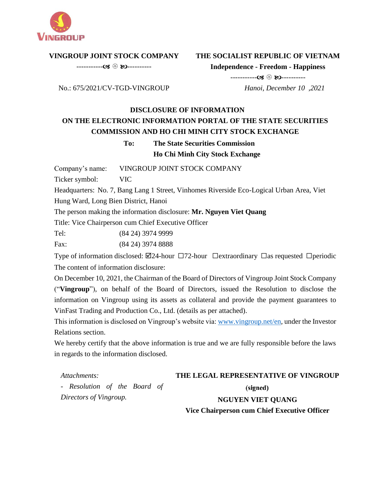

#### **VINGROUP JOINT STOCK COMPANY**

----------- ----------

# **THE SOCIALIST REPUBLIC OF VIETNAM**

**Independence - Freedom - Happiness**

No.: 675/2021/CV-TGD-VINGROUP

----------- ---------- *Hanoi, December 10 ,2021*

# **DISCLOSURE OF INFORMATION ON THE ELECTRONIC INFORMATION PORTAL OF THE STATE SECURITIES COMMISSION AND HO CHI MINH CITY STOCK EXCHANGE**

# **To: The State Securities Commission Ho Chi Minh City Stock Exchange**

Company's name: VINGROUP JOINT STOCK COMPANY

Ticker symbol: VIC

Headquarters: No. 7, Bang Lang 1 Street, Vinhomes Riverside Eco-Logical Urban Area, Viet Hung Ward, Long Bien District, Hanoi

The person making the information disclosure: **Mr. Nguyen Viet Quang**

Title: Vice Chairperson cum Chief Executive Officer

Tel: (84 24) 3974 9999

Fax: (84 24) 3974 8888

Type of information disclosed:  $\boxtimes$ 24-hour  $\Box$ 72-hour  $\Box$ extraordinary  $\Box$ as requested  $\Box$ periodic The content of information disclosure:

On December 10, 2021, the Chairman of the Board of Directors of Vingroup Joint Stock Company ("**Vingroup**"), on behalf of the Board of Directors, issued the Resolution to disclose the information on Vingroup using its assets as collateral and provide the payment guarantees to VinFast Trading and Production Co., Ltd. (details as per attached).

This information is disclosed on Vingroup's website via[: www.vingroup.net/en](https://www.vingroup.net/en)*,* under the Investor Relations section.

We hereby certify that the above information is true and we are fully responsible before the laws in regards to the information disclosed.

*Attachments:*  **THE LEGAL REPRESENTATIVE OF VINGROUP** *- Resolution of the Board of*  (signed) *Directors of Vingroup.* **NGUYEN VIET QUANG Vice Chairperson cum Chief Executive Officer**